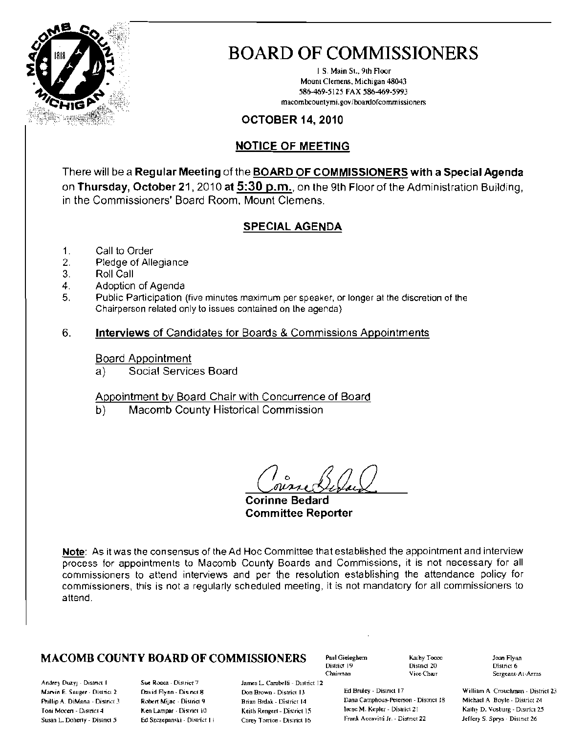

# **BOARD OF COMMISSIONERS**

1 S. Main St., 9th Floor Mount Clemens, Michigan 48043 586-469-5125 FAX 586-469-5993 macombcountymi.gov/boardofcommissioners

## **OCTOBER 14, 2010**

# **NOTICE OF MEETING**

There will be a Regular Meeting of the BOARD OF COMMISSIONERS with a Special Agenda on Thursday, October 21, 2010 at 5:30 p.m., on the 9th Floor of the Administration Building, in the Commissioners' Board Room, Mount Clemens.

## **SPECIAL AGENDA**

- Call to Order 1.
- 2. Pledge of Allegiance
- Roll Call 3.
- 4. Adoption of Agenda
- 5. Public Participation (five minutes maximum per speaker, or longer at the discretion of the Chairperson related only to issues contained on the agenda)
- 6. **Interviews of Candidates for Boards & Commissions Appointments**

#### **Board Appointment**

Social Services Board  $a)$ 

#### Appointment by Board Chair with Concurrence of Board

Macomb County Historical Commission  $b)$ 

**Corinne Bedard Committee Reporter** 

Note: As it was the consensus of the Ad Hoc Committee that established the appointment and interview process for appointments to Macomb County Boards and Commissions, it is not necessary for all commissioners to attend interviews and per the resolution establishing the attendance policy for commissioners, this is not a regularly scheduled meeting, it is not mandatory for all commissioners to attend

James L. Carabelli - District 12

Don Brown - District 13

Brian Brdak - District 14

Keith Rengert - District 15

Carey Torrice - District 16

#### **MACOMB COUNTY BOARD OF COMMISSIONERS**

Andrey Duzy: - District 1 Marvin E. Sauger - District 2 Phillip A. DiMana - District 3 Toni Mecen - District 4 Susan L. Doherty - District 5

Sue Rooca - District 7 David Flynn - District 8 Robert Mijac - District 9 Ken Lampar - District 10 Ed Szczepanski - District II Paul Gieleghem District 19 Chairman

Kathy Tocoo Distnct 20 Vice Chair

Ed Bruley - District 17 Dana Camphous-Peterson - District 18 Irene M. Kepler - District 21 Frank Accavitti Jr. - District 22

Joan Flynn District 6 Sergeant-At-Arms

William A. Crouchman - District 23 Michael A Boyle - District 24 Kathy D. Vosburg - District 25 Jeffery S. Sprys - District 26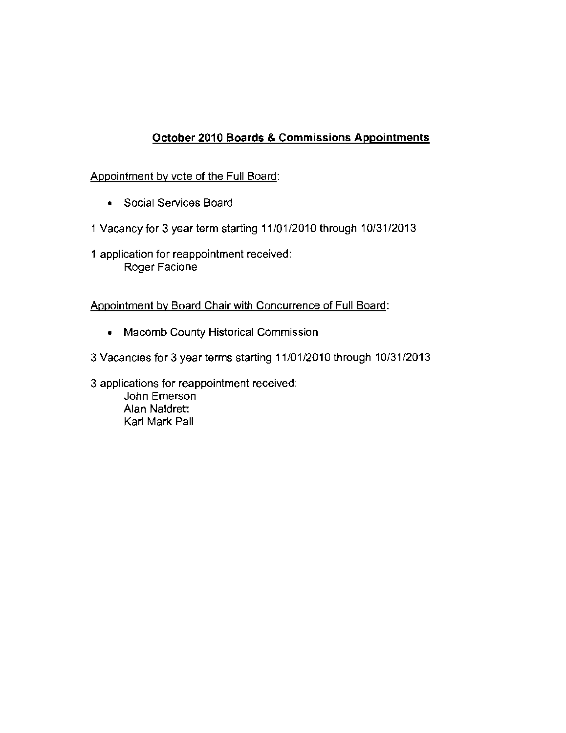# October 2010 Boards & Commissions Appointments

#### Appointment by vote of the Full Board:

- **Social Services Board**
- 1 Vacancy for 3 year term starting 11/01/2010 through 10/31/2013
- 1 application for reappointment received: **Roger Faciane**

#### Appointment by Board Chair with Concurrence of Full Board:

- **Macomb County Historical Commission**
- 3 Vacancies for 3 year terms starting 11/01/2010 through 10/31/2013

3 **applications for reappointment received: John Emerson**  Alan Naldrett Karl Mark Pall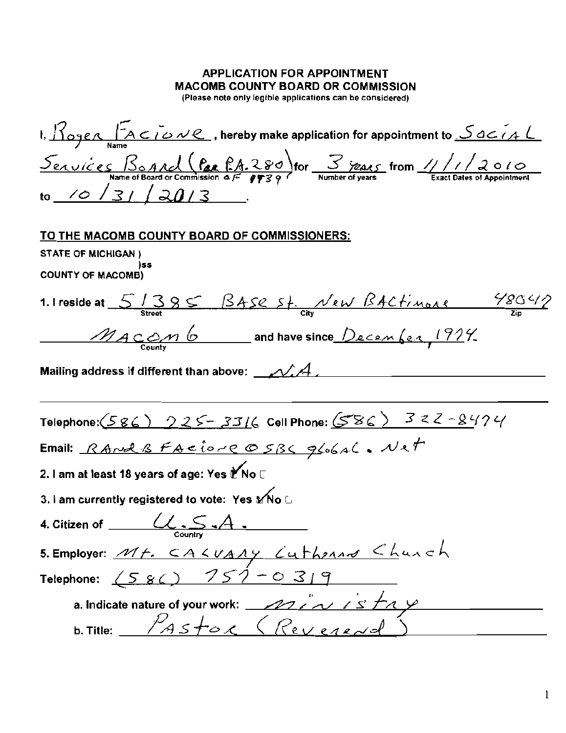# **APPLICATION FOR APPOINTMENT MACOMB COUNTY BOARD OR COMMISSION**

(Please note only legible applications can be considered)

I,  $\frac{1}{10988}$   $\frac{1}{10088}$   $\frac{1}{10088}$ , hereby make application for appointment to  $\frac{5}{1008}$ <u>Services</u> Bonnel (Par PA-280) for 3 7245 from 1/1/2010 to  $(0/3)/20/3$ TO THE MACOMB COUNTY BOARD OF COMMISSIONERS: **STATE OF MICHIGAN)** )ss **COUNTY OF MACOMB)** 1. I reside at  $5/385$  BASE St. New BACtimone  $\frac{48042}{\pi}$ MACOM 6 and have since December, 1924. Mailing address if different than above:  $\mathcal{N} A$ Telephone:  $(586)$  225-3316 Cell Phone:  $(586)$  322-8474 Email: RAnd B FACIONE O SBC global. Net 2. I am at least 18 years of age: Yes t No □ 3. I am currently registered to vote: Yes Mo L 4. Citizen of  $\underbrace{\hspace{1cm}}\underbrace{\hspace{1cm}}\underbrace{\hspace{1cm}}\underbrace{\hspace{1cm}}\underbrace{\hspace{1cm}}\underbrace{\hspace{1cm}}\hspace{1cm}\underbrace{\hspace{1cm}}\hspace{1cm}\hspace{1cm}\hspace{1cm}\hspace{1cm}\hspace{1cm}\hspace{1cm}\hspace{1cm}\hspace{1cm}\hspace{1cm}\hspace{1cm}\hspace{1cm}\hspace{1cm}\hspace{1cm}\hspace{1cm}\hspace{1cm}\hspace{1cm}\hspace{1cm}\hspace{1cm}\hspace{1cm}\hspace{1cm}\hspace{1cm}\hspace{$ 5. Employer: Mt. CALUARY Cutherand Chunch Telephone:  $(580)$   $757 - 0319$ a. Indicate nature of your work: <u>2012 v 15 the</u> b. Title:  $P_{ASE}$  (Revered)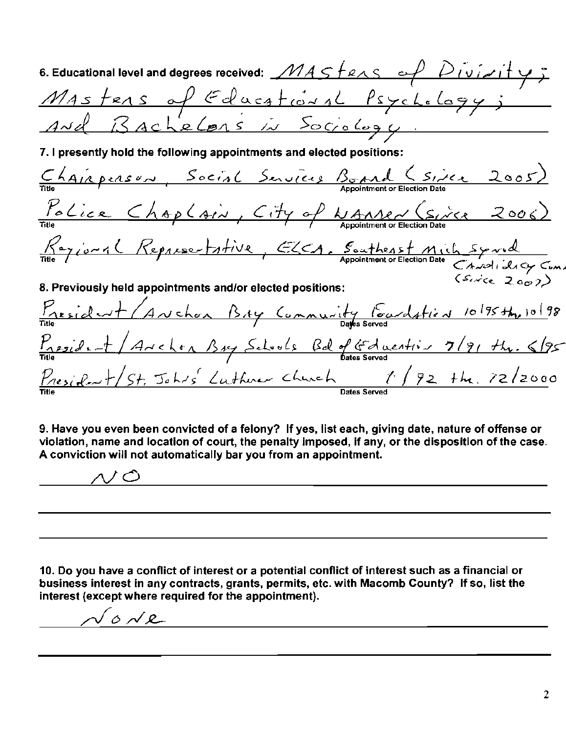| 6. Educational level and degrees received: $MASFens \sim P$ Dividity,                                     |
|-----------------------------------------------------------------------------------------------------------|
|                                                                                                           |
| Mastens of Educational Psychology;                                                                        |
| 7. I presently hold the following appointments and elected positions:                                     |
| Title AIRPERSON, Social Services Bond (Sixe 2005)                                                         |
| $\frac{\gamma_{o}C_{ice}}{\pi i t e}$ ChapCain, City of WAMer (Since 2006)                                |
| Title 7 10 mg (Representative, ELCA, Southeast Mich Synal<br>Appointment or Election Date Canal idag Cump |
| 8. Previously held appointments and/or elected positions:                                                 |
| President (Avchon BAY Community Poundstien 10/95 th, 10/98                                                |
| $\frac{P_{\text{resid}}}{\text{Time}} + A$ rchen Bay Schools Bd of Gducation 7/91 the 6/95                |
| $\frac{p_{residext}+}{s+}$ Johns Luther Church $1/92$ the $72/2000$                                       |

9. Have you even been convicted of a felony? If yes, list each, giving date, nature of offense or violation, name and location of court, the penalty imposed, if any, or the disposition of the case. A conviction will not automatically bar you from an appointment.

ハノ〇 <u>a sa barang sa mga barang sa mga barang sa mga barang sa mga barang sa mga barang sa mga barang sa mga barang</u>

10. Do you have a conflict of interest or a potential conflict of interest such as a financial or business interest in any contracts, grants, permits, etc. with Macomb County? If so, list the interest (except where required for the appointment).

 $lowe$   $\qquad \qquad \qquad$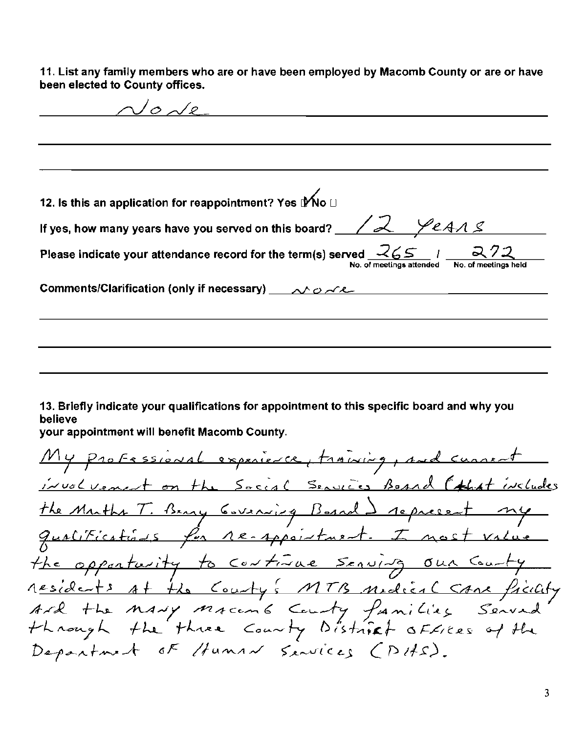11. List any family members who are or have been employed by Macomb County or are or have been elected to County offices.

 $\sqrt{\rho}$  and  $\sqrt{\rho}$ 12. Is this an application for reappointment? Yes IMo **□** If yes, how many years have you served on this board?  $\angle\angle\angle\angle\angle\angle$ Please indicate your attendance record for the term(s) served  $-65$  / 

13. Briefly indicate your qualifications for appointment to this specific board and why you believe

your appointment will benefit Macomb County.

My professional experience, training, and current involvement on the Social Services Beand (that includes the Muths T. Bany Covening Board ) represent my qualitications for re-appointment. I most value the opportunity to continue serving our county residents at the County's MTB modical same ficility<br>Ard the many macents County families Served<br>through the three County District offices of the Department OF Human Services (DHS).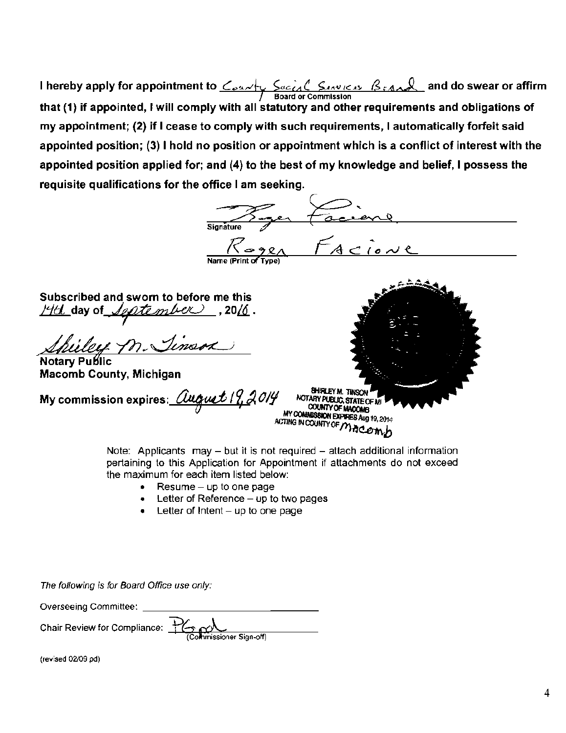**I hereby apply for appointment to** <u>County Sacial Seaves Beand</u> and do swear or affirm **1.1.** Board or Commission that (1) if appointed, I will comply with all statutory and other requirements and obligations of my appointment; (2) if I cease to comply with such requirements, I automatically forfeit said appointed position; (3) I hold no position or appointment which is a conflict of interest with the appointed position applied for; and (4) to the best of my knowledge and belief, I possess the requisite qualifications for the office I am seeking.

and (4) to the best of my knowledge and<br>office I am seeking.<br> $\overbrace{\text{square}}$  Subscribed and sworn to before me this */4th day of <i>Jeptember*, 2016. Shilly m. Timson Macomb County, Michigan SHIRLEY M. TINSON **My commission expires:**  NOTARY PUBLIC, STATE OF MI **COUNTY OF MACOMB** COUNTY OF MACOMB<br>MY COMMUSSION EXPIRES Aug 19, 2014<br>ACTING IN COUNTY OF MACOMMO

Note: Applicants may  $-$  but it is not required  $-$  attach additional information pertaining to this Application for Appointment if attachments do not exceed the maximum for each item listed below:

- Resume  $-$  up to one page
- Letter of Reference  $-$  up to two pages
- **Letter of Intent**  $-$  up to one page

The following is for Board Office use only:

Overseeing Committee: \_

Chair Review for Compliance:  $\frac{1}{100}$  M

(revised *02109* pd)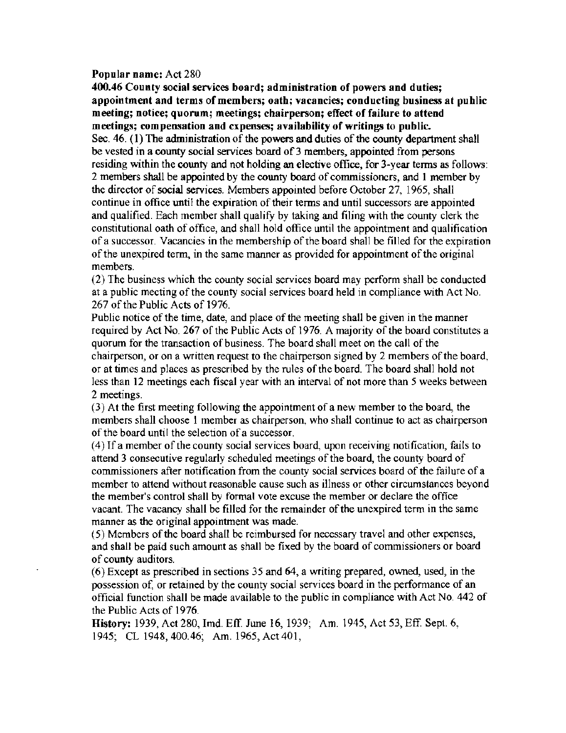#### Popular name: Act 280

400.46 County social services board; administration of powers and duties; appointment and terms of members; oath; vacancies; conducting business at puhlic meeting; notice; quorum; meetings; chairperson; effect of failure to attend meetings; compensation and expenses; availability of writings to public. Sec.  $46. (1)$  The administration of the powers and duties of the county department shall be vested in a county social services board of 3 members, appointed from persons residing within the county and not holding an elective office, for 3-year terms as follows: 2 members shall be appointed by the county board of commissioners, and 1 member by the director of social services. Members appointed before October 27, 1965, shall continue in office until the expiration of their terms and until successors are appointed and qualified. Each member shall quality by taking and filing with the county clerk the constitutional oath of office, and shall hold office until the appointment and qualification of a successor. Vacancies in the membership of the board shall be filled for the expiration of the unexpired term, in the same manner as provided for appointment of the original members.

(2) The business which the county social services board may perform shall be conducted at a public meeting of the county social services board held in compliance with Act No. 267 of the Public Acts of 1976.

Public notice of the time, date, and place of the meeting shall be given in the manner required by Act No. 267 of the Public Acts of 1976. A majority of the board constitutes a quorum for the transaction of business. The board shall meet on the call of the chairperson, or on a written request to the chairperson signed by 2 members of the board, or at times and places as prescribed by the rules of the board. The board shall hold not less than 12 meetings each fiscal year with an interval of not more than 5 weeks between 2 meetings.

(3) At the first meeting following the appointment of a new member to the board, the members shall choose I member as chairperson, who shall continue to act as chairperson of the board until the selection of a successor.

 $(4)$  If a member of the county social services board, upon receiving notification, fails to attend 3 consecutive regularly scheduled meetings of the board, the county board of commissioners after notification from the county social services board of the failure of a member to attend without reasonable cause such as illness or other circumstances beyond the member's control shall by formal vote excuse the member or declare the office vacant. The vacancy shall be filled for the remainder of the unexpired term in the same manner as the original appointment was made.

(5) Members of the board shall be reimbursed for necessary travel and other expenses, and shall be paid such amount as shall be fixed by the board of commissioners or board of county auditors.

(6) Except as prescribed in sections 35 and 64, a writing prepared, owned, used, in the possession of, or retained by the county social services board in the performance of an official function shall be made available to the public in compliance with Act No. 442 of the Public Acts of 1976.

History: 1939, Act 280, Imd. Eff. June 16, 1939; Am. 1945, Act 53, Eff. Sept. 6, 1945; CL 1948,400.46; Am. 1965, Act401,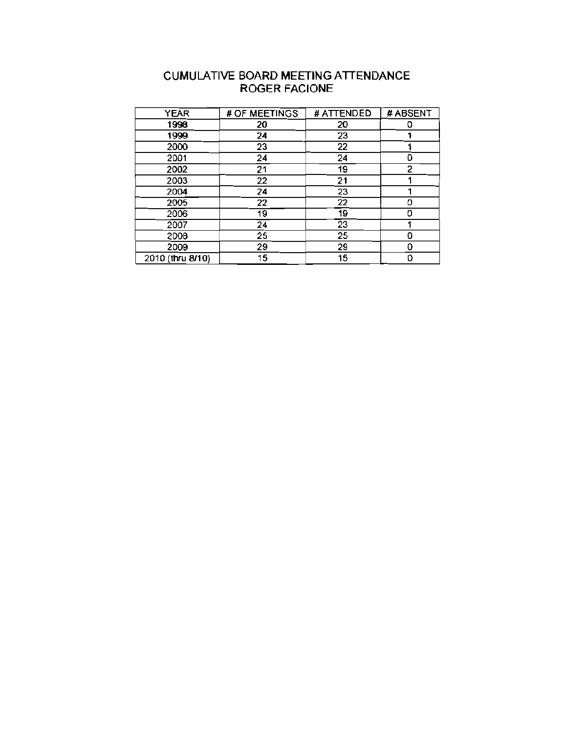| CUMULATIVE BOARD MEETING ATTENDANCE |
|-------------------------------------|
| <b>ROGER FACIONE</b>                |

| <b>YEAR</b>      | # OF MEETINGS | # ATTENDED      | # ABSENT |
|------------------|---------------|-----------------|----------|
| 1998             | 20            | 20              | o        |
| 1999             | 24            | 23              |          |
| 2000             | 23            | 22              |          |
| 2001             | 24            | 24              |          |
| 2002             | 21            | 19              | 2        |
| 2003             | 22            | 21              |          |
| 2004             | 24            | 23              |          |
| 2005             | 22            | $\overline{22}$ | Λ        |
| 2006             | 19            | 19              | n        |
| 2007             | 24            | 23              |          |
| 2008             | 25            | 25              | Λ        |
| 2009             | 29            | 29              | Ω        |
| 2010 (thru 8/10) | 15            | 15              | n        |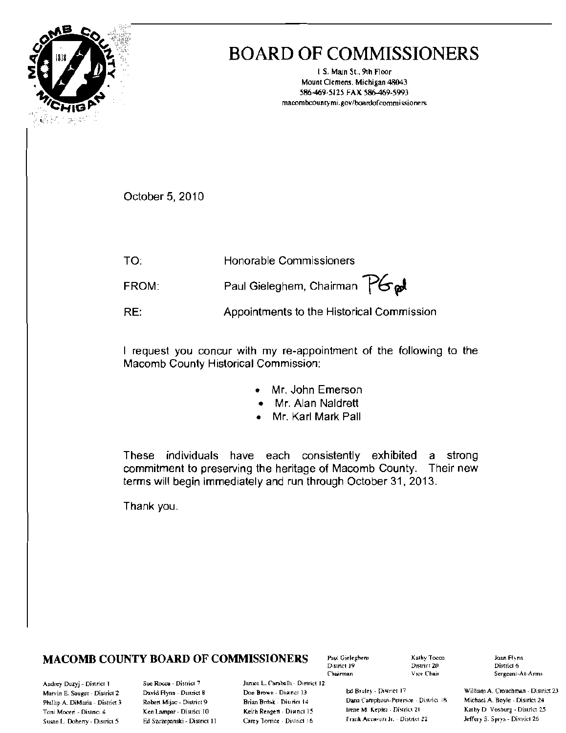

# **BOARD OF COMMISSIONERS**

I.S. Main St., 9th Floor Mount Clemens, Michigan 48043 586-469-5125 FAX 586-469-5993 macombcountymi.gov/boardofcommissioners

October 5, 2010

TO: Honorable Commissioners Paul Gieleghem, Chairman PG al FROM:

RE: Appointments to the Historical Commission

I request you concur with my re-appointment of the following to the Macomb County Historical Commission:

- Mr. John Emerson
- Mr. Alan Naldrett
- Mr. Karl Mark Pall

These individuals have each consistently exhibited a strong commitment to preserving the heritage of Macomb County. Their new terms will begin immediately and run through October 31, 2013.

Thank you.

## **MACOMB COUNTY BOARD OF COMMISSIONERS**

Paul Gieleghen) District 19 Chairman

Kathy Tocco District 20 Vice Chair

Joan Flynn District 6 Sergeant-At-Arms

Andrey Duzyj - District 1 Marvin E. Sauger - District 2 Phillip A. DiMaria - District 3 Toni Moceri - District 4 Susan L. Doherty - District 5

Sue Rocca - District 7 David Flynn - District 8 Robert Mijac - District 9 Ken Lampar - District 10 Ed Szczepanski - District 11 James L. Carabelli - District 12 Don Brown - District 13 Brian Brdak - District 14 Keith Rengert - District 15 Carey Torrice - District 16

Ed Bruley - District 17 Dana Camphous-Peterson - District 18 Irene M. Kepler - District 21 Frank Accavitti Jr. - District 22

William A. Crouchman - District 23 Michael A. Boyle - District 24 Kathy D. Vosburg - District 25 Jeffery S. Sprys - District 26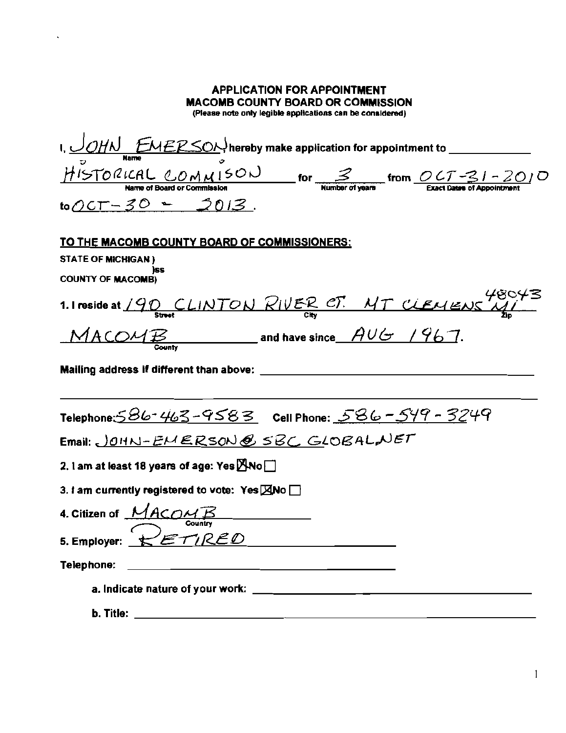| <b>APPLICATION FOR APPOINTMENT</b><br><b>MACOMB COUNTY BOARD OR COMMISSION</b><br>(Please note only legible applications can be considered) |
|---------------------------------------------------------------------------------------------------------------------------------------------|
| $to$ OCT-30 - 2013.                                                                                                                         |
| <u>TO THE MACOMB COUNTY BOARD OF COMMISSIONERS:</u><br><b>STATE OF MICHIGAN)</b><br>)SS<br><b>COUNTY OF MACOMB)</b>                         |
| 1.1 reside at 190 CLINTON RIVER CT. MT CLEMENS MI<br>$MACOMB$ and have since $AUE$ / 967.                                                   |
| Mailing address if different than above:                                                                                                    |
| Telephone: 586-463-9583 Cell Phone: 586-549-3249<br>Email: JOHN-EMERSON@SBC GLOBALNET                                                       |
| 2. 1 am at least 18 years of age: Yes $MNO$                                                                                                 |
| 3. I am currently registered to vote: Yes ANo                                                                                               |
| 4. Citizen of MACOMB                                                                                                                        |
| $z$ ETIRED<br>5. Employer:                                                                                                                  |
| <u> 1989 - Johann Harry Harry Harry Harry Harry Harry Harry Harry Harry Harry Harry Harry Harry Harry Harry Harry</u><br>Telephone:         |
|                                                                                                                                             |
| b. Title: $\_\_$                                                                                                                            |

 $\sim 10^{11}$  km s  $^{-1}$ 

 $\vert 1 \vert$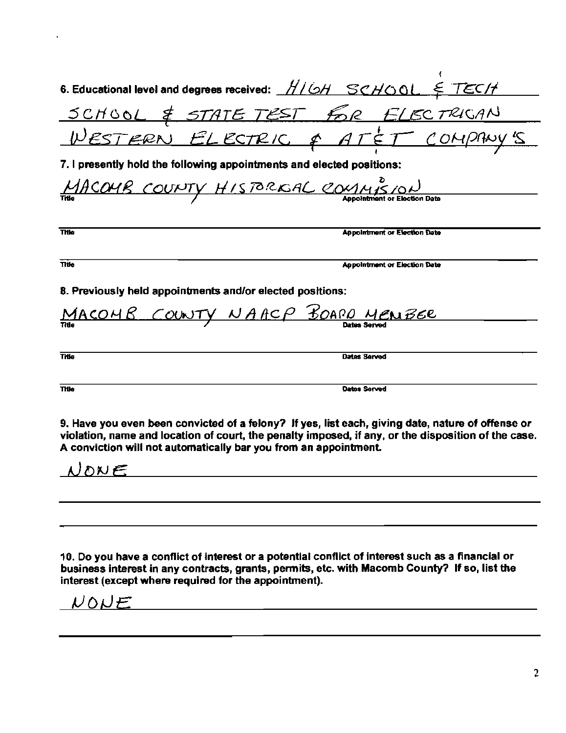|                                                                       | 6. Educational level and degrees received: $H/OH$ SCHOOL $\epsilon$ TECH                                                                                                                                 |
|-----------------------------------------------------------------------|----------------------------------------------------------------------------------------------------------------------------------------------------------------------------------------------------------|
|                                                                       |                                                                                                                                                                                                          |
|                                                                       | <u>SCHOOL &amp; STATE TEST FOR ELECTRICAN</u><br>WESTERN ELECTRIC & ATÉT COMPANY'S                                                                                                                       |
| 7. I presently hold the following appointments and elected positions: |                                                                                                                                                                                                          |
| MACOMB COUNTY HISTORICAL COMMISION                                    |                                                                                                                                                                                                          |
|                                                                       |                                                                                                                                                                                                          |
| Title                                                                 | <b>Appointment or Election Date</b>                                                                                                                                                                      |
| Title                                                                 | <b>Appointment or Election Date</b>                                                                                                                                                                      |
| 8. Previously held appointments and/or elected positions:             |                                                                                                                                                                                                          |
| <u>MACOMB COUNTY NAACP BOARD MENBER</u>                               |                                                                                                                                                                                                          |
|                                                                       |                                                                                                                                                                                                          |
| Title                                                                 | Dates Served                                                                                                                                                                                             |
| <b>Title</b>                                                          | Dates Served                                                                                                                                                                                             |
| A conviction will not automatically bar you from an appointment.      | 9. Have you even been convicted of a felony? If yes, list each, giving date, nature of offense or<br>violation, name and location of court, the penalty imposed, if any, or the disposition of the case. |

10. Do you have a conflict of interest or a potential conflict of interest such as a financial or business interest in any contracts, grants, pennits, etc. with Macomb County? If so, list the interest (except where required for the appointment).

<u> 1989 - Johann Barn, mars ar breithinn ar breithinn ar breithinn ar breithinn ar breithinn ar breithinn ar br</u>

 $NOWE$  and  $NOME$ 

 $NONE$ 

l,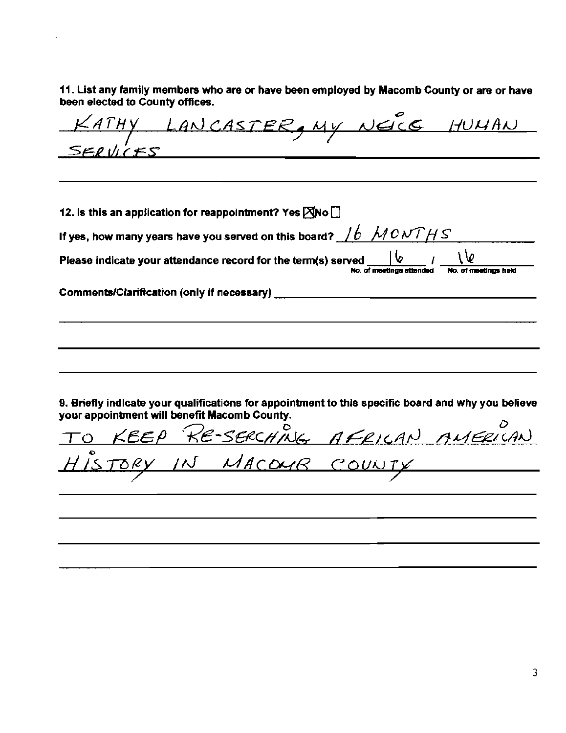11. List any family members who are or have been employed by Macomb County or are or have been elected to County offices.

CATHY LANCASTER, MY NEICE HUMAN  $SFR$  VICFS 12. Is this an application for reappointment? Yes  $\boxtimes$ No  $\Box$ If yes, how many years have you served on this board?  $\frac{1}{b}$  MONTHS Please indicate your attendance record for the term(s) served No. of meetings attended No. of meetings held Comments/Clarification (only if necessary) 9. Briefly indicate your qualifications for appointment to this specific board and why you believe your appointment will benefit Macomb County. RE-SERCHING AFRICAN AMERICAN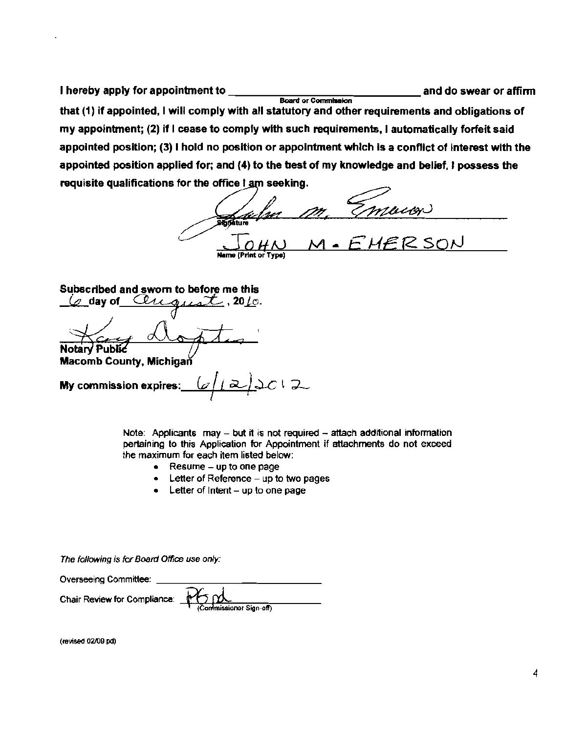I hereby apply for appointment to **construct to an and do swear or affirm Board or Commission** that (1) if appointed, I will comply with all statutory and other requirements and obligations of my appointment; (2) if I cease to comply with such requirements, I automatically forfeit said appointed position; (3) I hold no position or appointment which is a conflict of interest with the appointed position applied for; and (4) to the best of my knowledge and belief, I possess the requisite qualifications for the office I am seeking.

<u>de fre</u> Name (Print or Type) <u>ER SON</u>

Subscribed and sworn to before me this

Cenquat, 2010. (⊘ dav of **Notary Public** 

**Macomb County, Michigar** 

 $2c12$ My commission expires: 灵

Note: Applicants may  $-$  but it is not required  $-$  attach additional information pertaining to this Application for Appointment if attachments do not exceed the maximum for each item listed below:

- Resume up to one page
- Letter of Reference up to two pages
- $\bullet$  Letter of Intent up to one page

The following is for Board Office use only:

| Overseeing Committee:        |                                                                                                                                                                                                                                                                                                                                                                                            |
|------------------------------|--------------------------------------------------------------------------------------------------------------------------------------------------------------------------------------------------------------------------------------------------------------------------------------------------------------------------------------------------------------------------------------------|
| Chair Review for Compliance: | $\sim$ $\bigoplus$ $\bigoplus$ $\bigoplus$ $\bigoplus$ $\bigoplus$ $\bigoplus$ $\bigoplus$ $\bigoplus$ $\bigoplus$ $\bigoplus$ $\bigoplus$ $\bigoplus$ $\bigoplus$ $\bigoplus$ $\bigoplus$ $\bigoplus$ $\bigoplus$ $\bigoplus$ $\bigoplus$ $\bigoplus$ $\bigoplus$ $\bigoplus$ $\bigoplus$ $\bigoplus$ $\bigoplus$ $\bigoplus$ $\bigoplus$ $\bigoplus$ $\bigoplus$ $\bigoplus$ $\bigoplus$ |
|                              |                                                                                                                                                                                                                                                                                                                                                                                            |

(reviSed 02109 pd)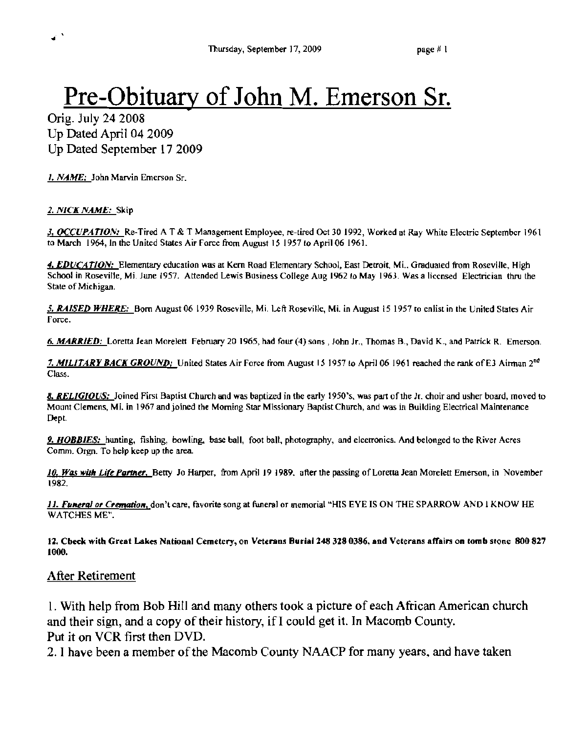# Pre-Obituary of John M. Emerson Sr.

Orig. July 24 2008 Up Dated April 04 2009 Up Dated September 17 2009

1. NAME: John Marvin Emerson Sr.

*2. NICK NAME:* Skip

J. *OCCUPATION:* Re~Tired A T & T Management Employee, re-tired Oct 301992, Worked at Ray White Electric September 1961 to March 1964, In the United States Air Force from August 15 1957 to April 06 1961.

4. EDUCATION: Elementary education was at Kern Road Elementary School, East Detroit, Mi., Graduated from Roseville, High School in Roseville, Mi. June 1957. Attended Lewis Business College Aug 1962 10 May 1963. Was a licensed Electrician thru the State of Michigan.

*5. RAISED WHERE:* Born August 06 1939 Roseville, Mi. Left Roseville, Mi. in August 15 1957 ro enlist in the United Slates Air Force.

6. *MARRIED*: Loretta Jean Morelett February 20 1965, had four (4) sons, John Jr., Thomas B., David K., and Patrick R. Emerson.

7. MILITARY BACK GROUND: United States Air Force from August 15 1957 to April 06 1961 reached the rank of E3 Airman 2<sup>nd</sup> Class.

8. RELIGIOUS: Joined First Baptist Church and was baptized in the early 1950's, was part of the Jr. choir and usher board, moved to Mount Clemens, Mi. in 1967 and joined the Morning Star Missionary Baptist Church, and was in Building Electrical Maintenance Dept.

9. *HOBBIES*: hunting, fishing, bowling, base ball, foot ball, photography, and electronics. And belonged to the River Acres Comm. Orgn. To help keep up the area.

10. Was with Life Partner, Betty Jo Harper, from April 19 1989, after the passing of Loretta Jean Morelett Emerson, in November 1982.

11. Funeral or Cremation, don't care, favorite song at funeral or memorial "HIS EYE IS ON THE SPARROW AND I KNOW HE WATCHES ME".

12. Cbeck with Great Lakes National Cemetery, on Veterans Burial 248 328 0386, and Veterans affairs on tomb stone 800 827 1000.

#### After Retirement

I. With help from Bob Hill and many others took a picture of each African American church and their sign, and a copy of their history, if I could get it. In Macomb County. Put it on VCR first then DVD.

2. I have been a member of the Macomb County NAACP for many years, and have taken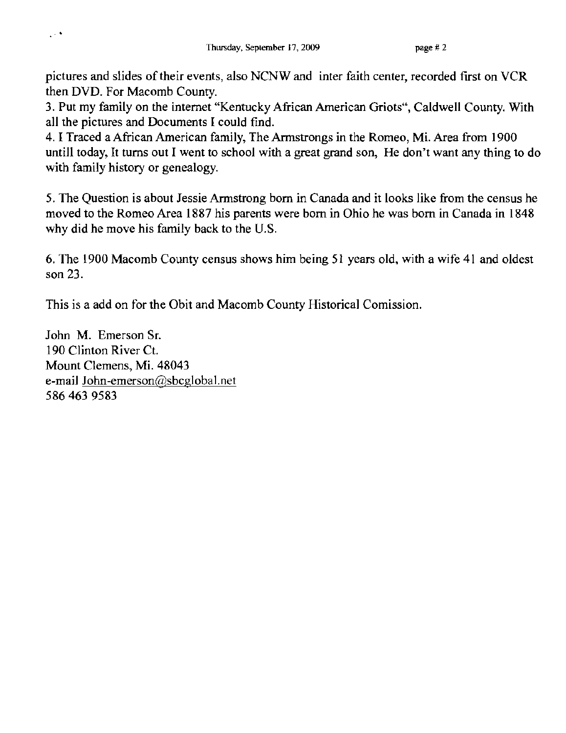pictures and slides of their events, also NCNW and inter faith center, recorded first on VCR then DVD. For Macomb County.

3. Put my family on the internet "Kentucky African American Griots", Caldwell County. With all the pictures and Documents I could find.

4. I Traced a African American family, The Armstrongs in the Romeo, Mi. Area from 1900 untill today, It turns out I went to school with a great grand son, He don't want any thing to do with family history or genealogy.

5. The Question is about Jessie Armstrong born in Canada and it looks like from the census he moved to the Romeo Area 1887 his parents were born in Ohio he was born in Canada in 1848 why did he move his family back to the U.S.

6. The 1900 Macomb County census shows him being 51 years old, with a wife 41 and oldest son 23.

This is a add on for the Obit and Macomb County Historical Comission.

John M. Emerson Sr. 190 Clinton River Ct. Mount Clemens, Mi. 48043 e-mail John-emerson@sbcglobal.net 5864639583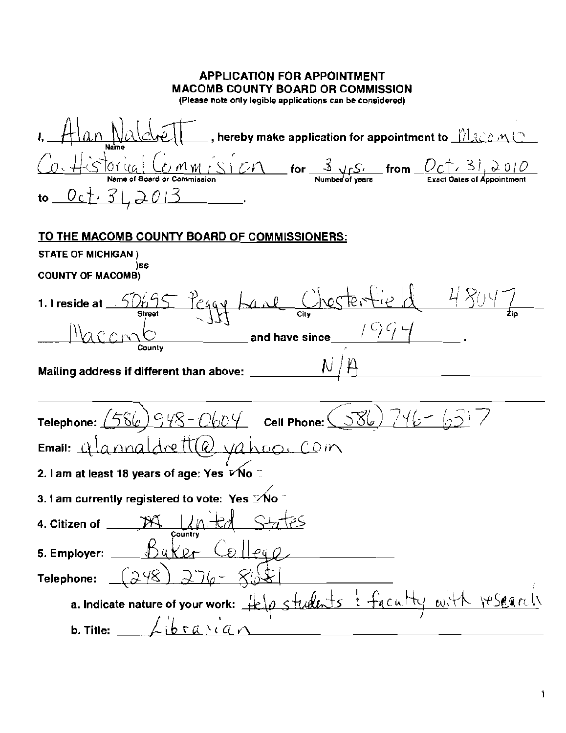| <b>APPLICATION FOR APPOINTMENT</b><br><b>MACOMB COUNTY BOARD OR COMMISSION</b><br>(Please note only legible applications can be considered)                                                                                                                                                                                                                                                                                                                                                                                                                                                 |
|---------------------------------------------------------------------------------------------------------------------------------------------------------------------------------------------------------------------------------------------------------------------------------------------------------------------------------------------------------------------------------------------------------------------------------------------------------------------------------------------------------------------------------------------------------------------------------------------|
| $\_$ , hereby make application for appointment to $\_$ $\mathbb{N}$ and $\mathbb{N}$ $\subset$                                                                                                                                                                                                                                                                                                                                                                                                                                                                                              |
| $\frac{\partial \mathcal{M}}{\partial \mathcal{L}} = \frac{\partial \mathcal{M}}{\partial \mathcal{L}} = \frac{2}{\text{Number of years}}$ from $\frac{\partial \mathcal{L}}{\partial \mathcal{L}} = \frac{3}{\text{N}} \frac{1}{\text{N}} \frac{\partial \mathcal{L}}{\partial \mathcal{L}} = \frac{1}{\text{N}} \frac{\partial \mathcal{L}}{\partial \mathcal{L}} = \frac{1}{\text{N}} \frac{\partial \mathcal{L}}{\partial \mathcal{L}} = \frac{1}{\text{N}} \frac{\partial \mathcal{L}}{\partial \mathcal{L}} = \frac{1}{\text{N}} \frac{\partial \math$<br>Name of Board or Commission |
| <u> Oct. 31,2013</u>                                                                                                                                                                                                                                                                                                                                                                                                                                                                                                                                                                        |
| TO THE MACOMB COUNTY BOARD OF COMMISSIONERS:                                                                                                                                                                                                                                                                                                                                                                                                                                                                                                                                                |
| STATE OF MICHIGAN)<br>)SS                                                                                                                                                                                                                                                                                                                                                                                                                                                                                                                                                                   |
| <b>COUNTY OF MACOMB)</b>                                                                                                                                                                                                                                                                                                                                                                                                                                                                                                                                                                    |
| 50695 Peggy Lane Chestertie de 480<br>1. I reside at<br>$-35$ and have since $\frac{10000}{10000}$ .                                                                                                                                                                                                                                                                                                                                                                                                                                                                                        |
| Mailing address if different than above:                                                                                                                                                                                                                                                                                                                                                                                                                                                                                                                                                    |
| $-948 - 0604$ Cell Phone: $(586)$ 746<br>Telephone:                                                                                                                                                                                                                                                                                                                                                                                                                                                                                                                                         |
| etta vahoo<br>COM<br>Email: $\angle$                                                                                                                                                                                                                                                                                                                                                                                                                                                                                                                                                        |
| 2. I am at least 18 years of age: Yes ⊽ No                                                                                                                                                                                                                                                                                                                                                                                                                                                                                                                                                  |
| 3.1 am currently registered to vote: Yes >No                                                                                                                                                                                                                                                                                                                                                                                                                                                                                                                                                |
| 4. Citizen of _<br>Country                                                                                                                                                                                                                                                                                                                                                                                                                                                                                                                                                                  |
| <u>Baker</u> Collego<br>5. Employer:                                                                                                                                                                                                                                                                                                                                                                                                                                                                                                                                                        |
| (248)<br>$) 276-$<br>Telephone:                                                                                                                                                                                                                                                                                                                                                                                                                                                                                                                                                             |
| a. Indicate nature of your work: Help students : faculty with research                                                                                                                                                                                                                                                                                                                                                                                                                                                                                                                      |
| $Libra$ <sup>rign</sup><br>b. Title: $\overline{\phantom{a}}$                                                                                                                                                                                                                                                                                                                                                                                                                                                                                                                               |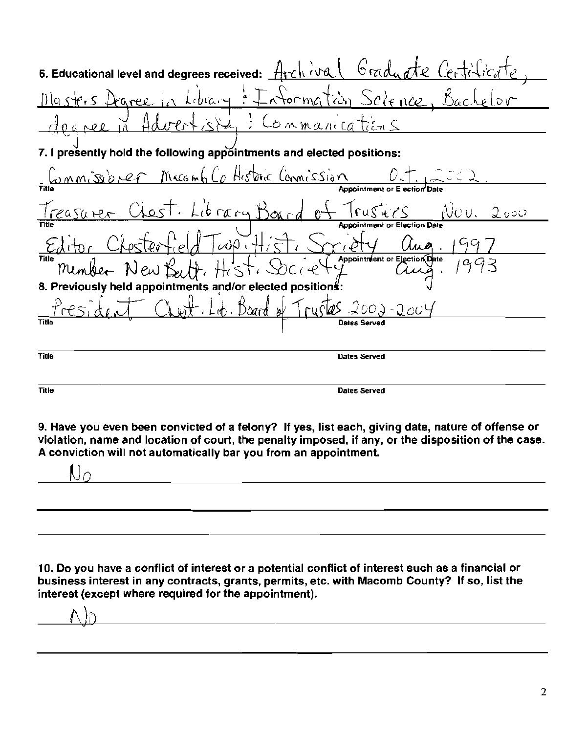| 6. Educational level and degrees received: Archival Graduate Centilica                  |
|-----------------------------------------------------------------------------------------|
| asters Degree in Library: Information Science, Bachelor                                 |
| Wertzla, : Commanications                                                               |
| 7. I presently hold the following appointments and elected positions:                   |
| Commissioner Macomb Co Historic Commission Detinate                                     |
|                                                                                         |
| Treasurer, Chest. Library Board of<br>$F$ $\frac{1}{2}$ $\frac{1}{2}$<br>Nov. I<br>2000 |
| or Election Date                                                                        |
| itor Chesterfield Twp. Hist, Smitty                                                     |
| Member New Bertt, Hist, Doie 4 Appointment or Election Clerce<br><b>Title</b>           |
| 8. Previously held appointments and/or elected positions:                               |
| Lent. Lop. Board of<br>$rw572002 - 2004$                                                |
| Title                                                                                   |
|                                                                                         |
| <b>Title</b><br>Dates Served                                                            |
| Title<br>Dates Served                                                                   |
|                                                                                         |

9. Have you even been convicted of a felony? If yes, list each, giving date, nature of offense or violation, name and location of court, the penalty imposed, if any, or the disposition of the case. A conviction will not automatically bar you from an appointment.

 $\mathsf{U} \circ$ 

10. Do you have a conflict of interest or a potential conflict of interest such as a financial or business interest in any contracts, grants, permits, etc. with Macomb County? If so, list the interest (except where required for the appointment).

<u> 1980 - Johann Stein, marwolaethau (b. 1980)</u>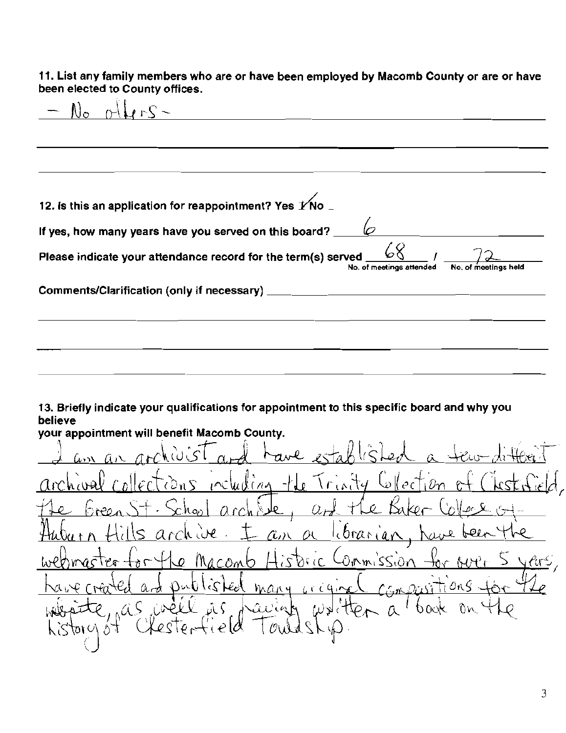11. List any family members who are or have been employed by Macomb County or are or have been elected to County offices.

 $N_o$  (others -  $1/2$  others -  $2/3$ 12. Is this an application for reappointment? Yes  $\cancel{1}$  No  $\degree$ **If yes, how many years have you served on this board?**  $\underline{\hspace{1cm}}\varphi$  $\overline{\phantom{a}}$ Please indicate your attendance record for the term(s) served  $\sqrt{\frac{60}{N}}$  /  $\sqrt{\frac{2}{N}}$ **No. of meetings attended** Comments/Clarification (only if necessary)

13. Briefly indicate your qualifications for appointment to this specific board and why you believe

your appointment will benefit Macomb County.  $J$  am an archivist and have established a few different archival collections including the Trinity Collection of Chistricial, hool archite, and the Baker Collese of libranian Commission Di col comb ᡰ᠗ かいむ lis ked  $600900$ ti ans 4  $\alpha \rightarrow$  $h \wedge h$   $d$ nas well as writter raciat 0 OOK  $\sim \alpha$  $t$   $\delta$  / $\vee$  10)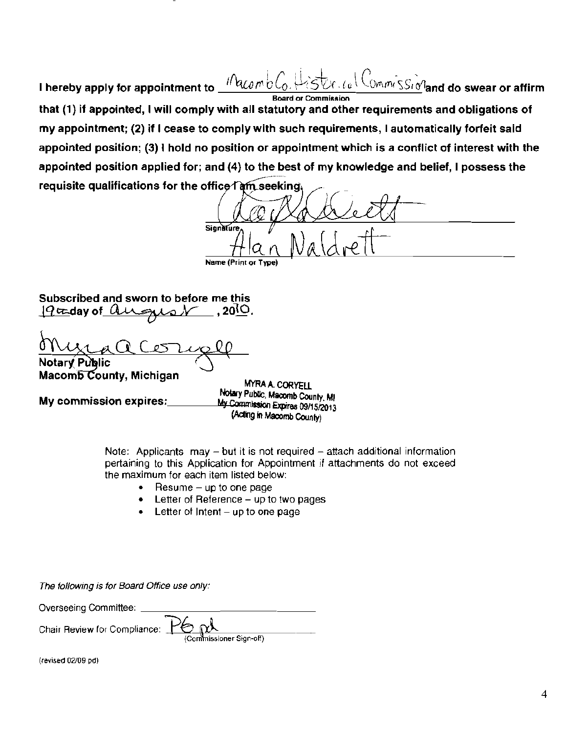$10$ acombl Commissionand do swear or affirm I hereby apply for appointment to **Board or Commission** that (1) if appointed, I will comply with all statutory and other requirements and obligations of my appointment; (2) if I cease to comply with such requirements, I automatically forfeit said appointed position; (3) I hold no position or appointment which is a conflict of interest with the appointed position applied for; and (4) to the best of my knowledge and belief, I possess the requisite qualifications for the office Tam seeking

Signature Name (F

Subscribed and sworn to before me this  $,20^{\circ}$ .  $19$ caday of august

Macomb County, Michigan

My commission expires:

MYRA A CORYELL Notary Public, Macomb County, MI My Commission Expires 09/15/2013 (Acting in Macomb County)

Note: Applicants  $may - but it is not required - attach additional information$ pertaining to this Application for Appointment if attachments do not exceed the maximum for each item listed below:

- Resume  $-$  up to one page
- Letter of Reference up to two pages
- Letter of Intent  $-$  up to one page

The following is for Board Office use only:

Overseeing Committee: Chair Review for Compliance: imissioner Sign-off)

(revised 02/09 pd)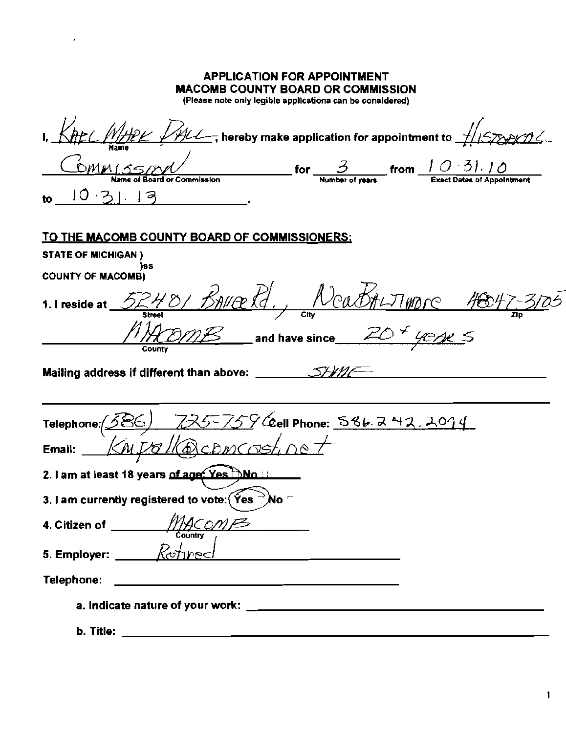| <b>APPLICATION FOR APPOINTMENT</b><br><b>MACOMB COUNTY BOARD OR COMMISSION</b><br>(Please note only legible applicationa can be conaidered)                                                                                                                                                                                                                                                                         |  |
|---------------------------------------------------------------------------------------------------------------------------------------------------------------------------------------------------------------------------------------------------------------------------------------------------------------------------------------------------------------------------------------------------------------------|--|
| $\frac{\partial f}{\partial t}$ ( $\frac{\partial f}{\partial t}$ $\frac{\partial f}{\partial t}$ , hereby make application for appointment to $\frac{f}{\partial t}$ (578) (1) (                                                                                                                                                                                                                                   |  |
|                                                                                                                                                                                                                                                                                                                                                                                                                     |  |
| $_{\sf{to}}$ 10.31.12                                                                                                                                                                                                                                                                                                                                                                                               |  |
| TO THE MACOMB COUNTY BOARD OF COMMISSIONERS:                                                                                                                                                                                                                                                                                                                                                                        |  |
| <b>STATE OF MICHIGAN)</b>                                                                                                                                                                                                                                                                                                                                                                                           |  |
| ISS<br><b>COUNTY OF MACOMB)</b>                                                                                                                                                                                                                                                                                                                                                                                     |  |
| 1. I reside at $5248/518$<br>County                                                                                                                                                                                                                                                                                                                                                                                 |  |
|                                                                                                                                                                                                                                                                                                                                                                                                                     |  |
| $725-759$ Ceell Phone: 586 242.2094<br>Telephone: 386<br>KNPalk@comcastine+<br>Email:                                                                                                                                                                                                                                                                                                                               |  |
| 2. I am at least 18 years of age: Yes DNo.                                                                                                                                                                                                                                                                                                                                                                          |  |
| 3. I am currently registered to vote:(Ýes ⊇์No ♡                                                                                                                                                                                                                                                                                                                                                                    |  |
| 4. Citizen of ____<br>Country                                                                                                                                                                                                                                                                                                                                                                                       |  |
| 5. Employer: $\frac{R_{\text{c}} + R_{\text{c}}}{R_{\text{c}} + R_{\text{c}} + R_{\text{c}} + R_{\text{c}} + R_{\text{c}} + R_{\text{c}} + R_{\text{c}} + R_{\text{c}} + R_{\text{c}} + R_{\text{c}} + R_{\text{c}} + R_{\text{c}} + R_{\text{c}} + R_{\text{c}} + R_{\text{c}} + R_{\text{c}} + R_{\text{c}} + R_{\text{c}} + R_{\text{c}} + R_{\text{c}} + R_{\text{c}} + R_{\text{c}} + R_{\text{c}} + R_{\text$ |  |
| Telephone:<br><u> 1989 - Johann Barn, mars eta bainar eta bainar eta baina eta baina eta baina eta baina eta baina eta baina e</u>                                                                                                                                                                                                                                                                                  |  |
|                                                                                                                                                                                                                                                                                                                                                                                                                     |  |
|                                                                                                                                                                                                                                                                                                                                                                                                                     |  |

 $\sim$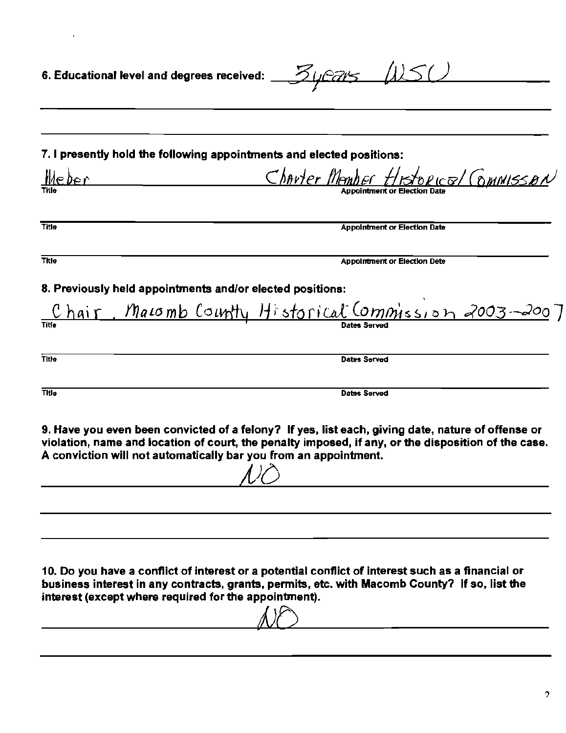|                                                       | 6. Educational level and degrees received: $Z\sqrt{2\pi}$                                                                                                                                                                                                                    |
|-------------------------------------------------------|------------------------------------------------------------------------------------------------------------------------------------------------------------------------------------------------------------------------------------------------------------------------------|
|                                                       |                                                                                                                                                                                                                                                                              |
|                                                       | 7. I presently hold the following appointments and elected positions:                                                                                                                                                                                                        |
| <u>Meber</u>                                          | Charter Member Historical Commisson<br>Appoi <del>ntment</del> or Election Date                                                                                                                                                                                              |
| Title                                                 | <b>Appointment or Election Date</b>                                                                                                                                                                                                                                          |
| Title                                                 | <b>Appointment or Election Dete</b>                                                                                                                                                                                                                                          |
|                                                       | 8. Previously held appointments and/or elected positions:<br>Chair, Macomb County Historical Commission 2003-2007                                                                                                                                                            |
| Title                                                 | Dates Served                                                                                                                                                                                                                                                                 |
| <b>Title</b>                                          | <b>Dates Served</b>                                                                                                                                                                                                                                                          |
|                                                       | 9. Have you even been convicted of a felony? If yes, list each, giving date, nature of offense or<br>violation, name and location of court, the penalty imposed, if any, or the disposition of the case.<br>A conviction will not automatically bar you from an appointment. |
|                                                       |                                                                                                                                                                                                                                                                              |
| interest (except where required for the appointment). | 10. Do you have a conflict of interest or a potential conflict of interest such as a financial or<br>business interest in any contracts, grants, permits, etc. with Macomb County? If so, list the                                                                           |

 $\mathcal{L}^{\text{max}}_{\text{max}}$  and  $\mathcal{L}^{\text{max}}_{\text{max}}$ 

NO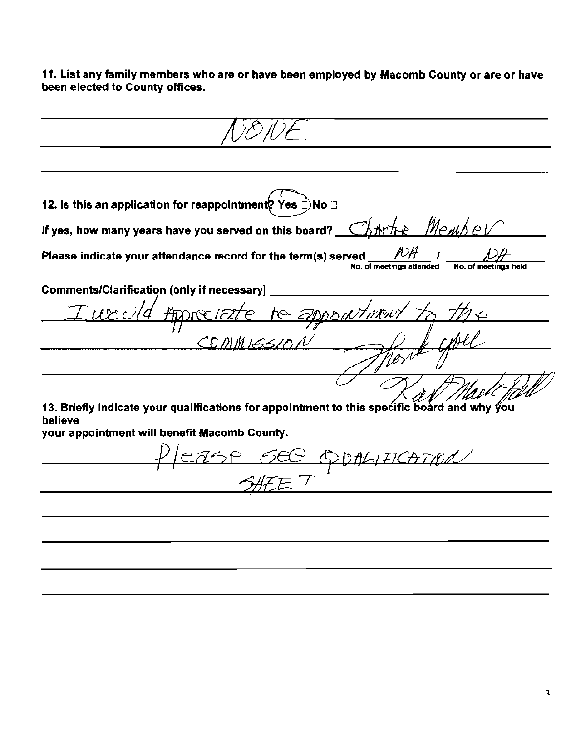11. List any family members who are or have been employed by Macomb County or are or have been elected to County offices.

12. Is this an application for reappointment? Yes ⊇No ⊒ If yes, how many years have you served on this board? Chtrick Menshell Please indicate your attendance record for the term(s) served No. of meetings attended **Comments/Clarification (only if necessary)** ATORE 152 COMMISSIO 13. Briefly indicate your qualifications for appointment to this specific board and why you believe your appointment will benefit Macomb County. ease see opphification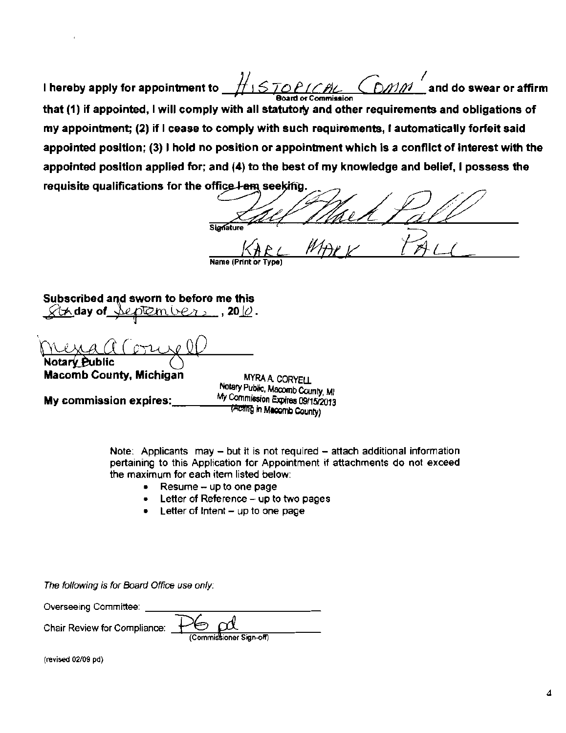I hereby apply for appointment to  $\underbrace{f\colon S} \overline{LOPLCLAL} \subseteq \overline{OMM}$  and do swear or affirm r Board or Commission that (1) if appointed, I will comply with all statutory and other requirements and obligations of my appointment; (2) if I cease to comply with such requirements, I automatically forleit said appointed position; (3) I hold no position or appointment which is a conflict of interest with the appointed position applied for; and (4) to the best of my knowledge and belief, I possess the I hereby apply for appointment to  $\frac{1}{15}$   $\frac{1}{570}$   $\frac{1}{164}$   $\frac{1}{60}$   $\frac{1}{164}$  and do sweart of Commission<br>that (1) if appointed, I will comply with all statutory and other requirements and obligationy appoin

office I am seeking.<br>Signature and the first contract of the first contract of the first contract of the first contract of the stat KARL MARK TALL

Name (Print or Type)

Subscribed and sworn to before me this  $\forall$ th day of Jeptembers , 20 $\varnothing$  .

**Macomb County, Michigan** 

MYRA A CORYEll Notary Public, Macomb County, MI My commission expires: My Commission Expires 09/15/2013 TActing in Macomb County)

> Note: Applicants may  $-$  but it is not required  $-$  attach additional information pertaining to this Application for Appointment if attachments do not exceed the maximum for each item listed below:

- Resume up to one page
- Letter of Reference up to two pages
- Letter of Intent  $-$  up to one page

The following is for Board Office use only:

Overseeing Committee:

Chair Review for Compliance:  $\frac{+\infty}{\text{Common}}$  (Commissioner Sign-off)

(revised *02/09* pd)